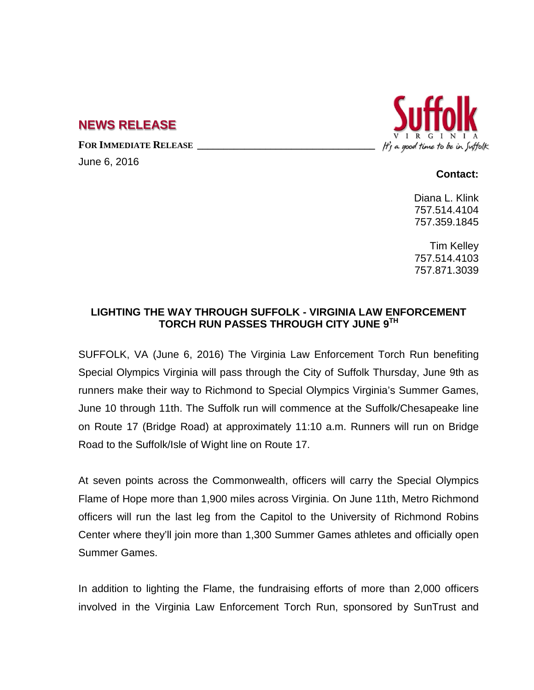## **NEWS RELEASE**

FOR IMMEDIATE RELEASE

June 6, 2016



**Contact:**

Diana L. Klink 757.514.4104 757.359.1845

Tim Kelley 757.514.4103 757.871.3039

## **LIGHTING THE WAY THROUGH SUFFOLK - VIRGINIA LAW ENFORCEMENT TORCH RUN PASSES THROUGH CITY JUNE 9TH**

SUFFOLK, VA (June 6, 2016) The Virginia Law Enforcement Torch Run benefiting Special Olympics Virginia will pass through the City of Suffolk Thursday, June 9th as runners make their way to Richmond to Special Olympics Virginia's Summer Games, June 10 through 11th. The Suffolk run will commence at the Suffolk/Chesapeake line on Route 17 (Bridge Road) at approximately 11:10 a.m. Runners will run on Bridge Road to the Suffolk/Isle of Wight line on Route 17.

At seven points across the Commonwealth, officers will carry the Special Olympics Flame of Hope more than 1,900 miles across Virginia. On June 11th, Metro Richmond officers will run the last leg from the Capitol to the University of Richmond Robins Center where they'll join more than 1,300 Summer Games athletes and officially open Summer Games.

In addition to lighting the Flame, the fundraising efforts of more than 2,000 officers involved in the Virginia Law Enforcement Torch Run, sponsored by SunTrust and